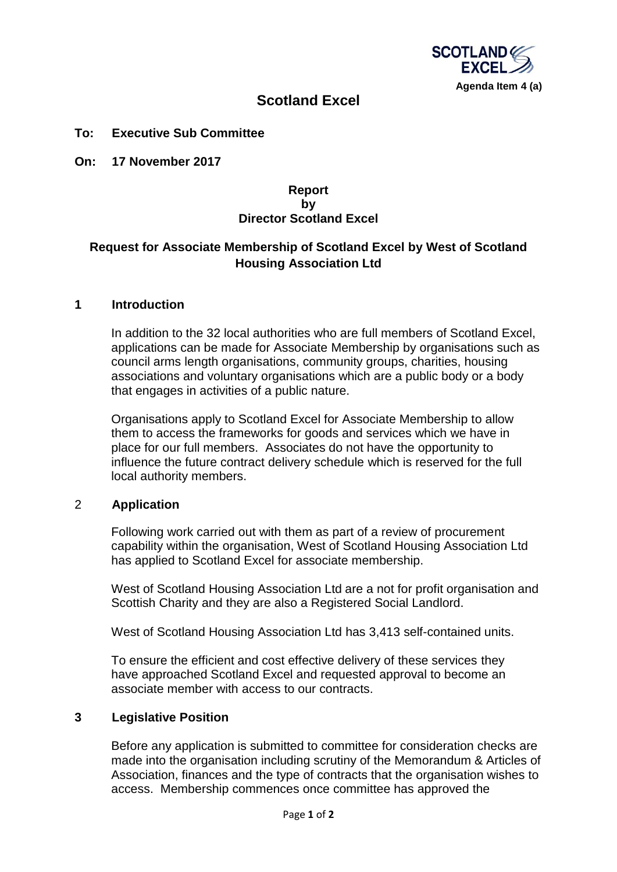

# **Scotland Excel**

### **To: Executive Sub Committee**

**On: 17 November 2017**

### **Report by Director Scotland Excel**

## **Request for Associate Membership of Scotland Excel by West of Scotland Housing Association Ltd**

#### **1 Introduction**

In addition to the 32 local authorities who are full members of Scotland Excel, applications can be made for Associate Membership by organisations such as council arms length organisations, community groups, charities, housing associations and voluntary organisations which are a public body or a body that engages in activities of a public nature.

Organisations apply to Scotland Excel for Associate Membership to allow them to access the frameworks for goods and services which we have in place for our full members. Associates do not have the opportunity to influence the future contract delivery schedule which is reserved for the full local authority members.

### 2 **Application**

Following work carried out with them as part of a review of procurement capability within the organisation, West of Scotland Housing Association Ltd has applied to Scotland Excel for associate membership.

West of Scotland Housing Association Ltd are a not for profit organisation and Scottish Charity and they are also a Registered Social Landlord.

West of Scotland Housing Association Ltd has 3,413 self-contained units.

To ensure the efficient and cost effective delivery of these services they have approached Scotland Excel and requested approval to become an associate member with access to our contracts.

#### **3 Legislative Position**

Before any application is submitted to committee for consideration checks are made into the organisation including scrutiny of the Memorandum & Articles of Association, finances and the type of contracts that the organisation wishes to access. Membership commences once committee has approved the